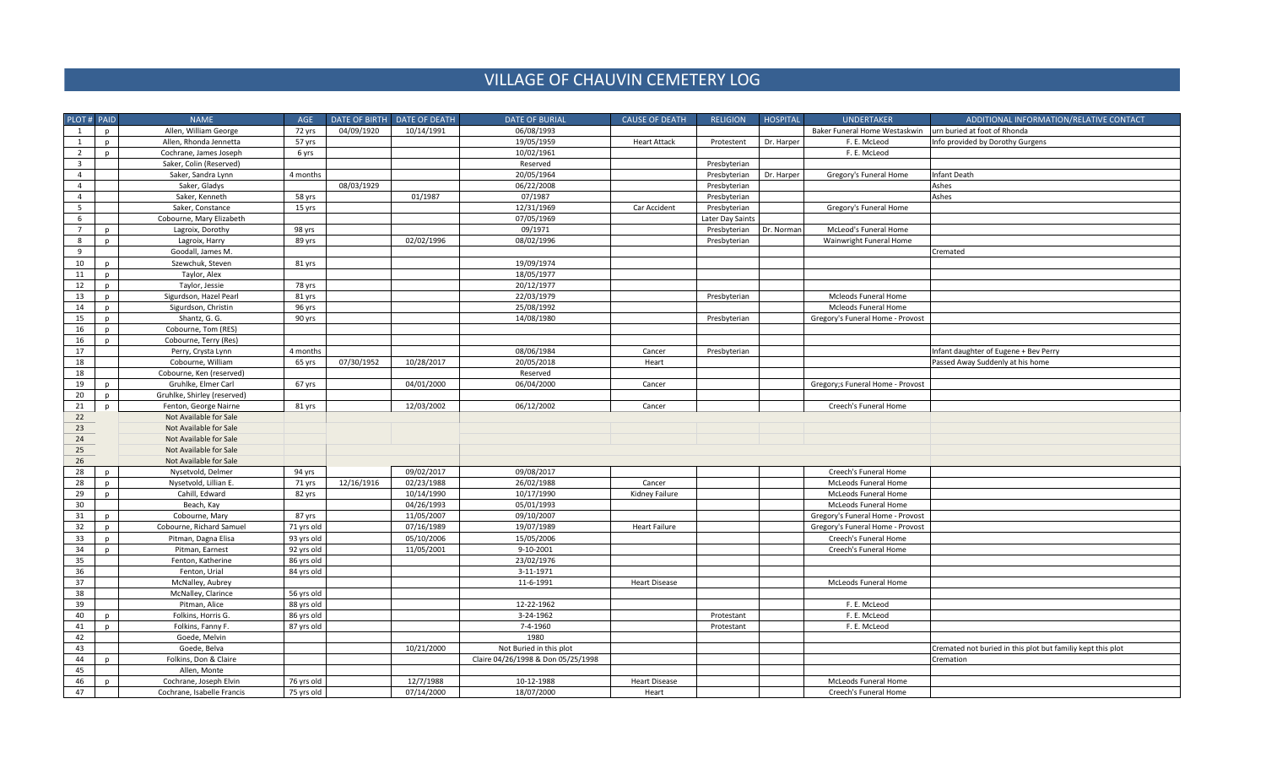## VILLAGE OF CHAUVIN CEMETERY LOG

| PLOT # PAID             | <b>NAME</b>                        | <b>AGE</b> |            | DATE OF BIRTH   DATE OF DEATH | <b>DATE OF BURIAL</b>              | <b>CAUSE OF DEATH</b> | <b>RELIGION</b>  | <b>HOSPITAL</b><br><b>UNDERTAKER</b> | ADDITIONAL INFORMATION/RELATIVE CONTACT                     |
|-------------------------|------------------------------------|------------|------------|-------------------------------|------------------------------------|-----------------------|------------------|--------------------------------------|-------------------------------------------------------------|
| p<br>1                  | Allen, William George              | 72 yrs     | 04/09/1920 | 10/14/1991                    | 06/08/1993                         |                       |                  | Baker Funeral Home Westaskwin        | urn buried at foot of Rhonda                                |
| 1<br>p                  | Allen, Rhonda Jennetta             | 57 yrs     |            |                               | 19/05/1959                         | <b>Heart Attack</b>   | Protestent       | Dr. Harper<br>F. E. McLeod           | Info provided by Dorothy Gurgens                            |
| $\overline{2}$<br>D     | Cochrane, James Joseph             | 6 yrs      |            |                               | 10/02/1961                         |                       |                  | F. E. McLeod                         |                                                             |
| $\overline{\mathbf{3}}$ | Saker, Colin (Reserved)            |            |            |                               | Reserved                           |                       | Presbyterian     |                                      |                                                             |
| $\overline{4}$          | Saker, Sandra Lynn                 | 4 months   |            |                               | 20/05/1964                         |                       | Presbyterian     | Dr. Harper<br>Gregory's Funeral Home | <b>Infant Death</b>                                         |
| $\overline{4}$          | Saker, Gladys                      |            | 08/03/1929 |                               | 06/22/2008                         |                       | Presbyterian     |                                      | Ashes                                                       |
| $\overline{4}$          | Saker, Kenneth                     | 58 yrs     |            | 01/1987                       | 07/1987                            |                       | Presbyterian     |                                      | Ashes                                                       |
| 5                       | Saker, Constance                   | 15 yrs     |            |                               | 12/31/1969                         | Car Accident          | Presbyterian     | Gregory's Funeral Home               |                                                             |
| 6                       | Cobourne, Mary Elizabeth           |            |            |                               | 07/05/1969                         |                       | Later Day Saints |                                      |                                                             |
| $7\overline{ }$<br>D    | Lagroix, Dorothy                   | 98 yrs     |            |                               | 09/1971                            |                       | Presbyterian     | Dr. Normar<br>McLeod's Funeral Home  |                                                             |
| 8<br>$\mathbf{D}$       | Lagroix, Harry                     | 89 yrs     |            | 02/02/1996                    | 08/02/1996                         |                       | Presbyterian     | Wainwright Funeral Home              |                                                             |
| 9                       | Goodall, James M.                  |            |            |                               |                                    |                       |                  |                                      | Cremated                                                    |
| 10<br>D                 | Szewchuk, Steven                   | 81 yrs     |            |                               | 19/09/1974                         |                       |                  |                                      |                                                             |
|                         |                                    |            |            |                               |                                    |                       |                  |                                      |                                                             |
| 11<br>D                 | Taylor, Alex                       |            |            |                               | 18/05/1977                         |                       |                  |                                      |                                                             |
| 12<br>p                 | Taylor, Jessie                     | 78 yrs     |            |                               | 20/12/1977                         |                       |                  |                                      |                                                             |
| 13<br>p                 | Sigurdson, Hazel Pearl             | 81 yrs     |            |                               | 22/03/1979                         |                       | Presbyterian     | Mcleods Funeral Home                 |                                                             |
| 14<br>D                 | Sigurdson, Christin                | 96 yrs     |            |                               | 25/08/1992                         |                       |                  | Mcleods Funeral Home                 |                                                             |
| 15<br>p                 | Shantz, G. G.                      | 90 yrs     |            |                               | 14/08/1980                         |                       | Presbyterian     | Gregory's Funeral Home - Provost     |                                                             |
| 16<br>p                 | Cobourne, Tom (RES)                |            |            |                               |                                    |                       |                  |                                      |                                                             |
| 16<br>n.                | Cobourne, Terry (Res)              |            |            |                               |                                    |                       |                  |                                      |                                                             |
| 17                      | Perry, Crysta Lynn                 | 4 months   |            |                               | 08/06/1984                         | Cancer                | Presbyterian     |                                      | Infant daughter of Eugene + Bev Perry                       |
| 18                      | Cobourne, William                  | 65 yrs     | 07/30/1952 | 10/28/2017                    | 20/05/2018                         | Heart                 |                  |                                      | Passed Away Suddenly at his home                            |
| 18                      | Cobourne, Ken (reserved)           |            |            |                               | Reserved                           |                       |                  |                                      |                                                             |
| 19<br>D                 | Gruhlke, Elmer Carl                | 67 yrs     |            | 04/01/2000                    | 06/04/2000                         | Cancer                |                  | Gregory;s Funeral Home - Provost     |                                                             |
| 20<br>p                 | Gruhlke, Shirley (reserved)        |            |            |                               |                                    |                       |                  |                                      |                                                             |
| 21                      | Fenton, George Nairne              | 81 yrs     |            | 12/03/2002                    | 06/12/2002                         | Cancer                |                  | Creech's Funeral Home                |                                                             |
| 22                      | Not Available for Sale             |            |            |                               |                                    |                       |                  |                                      |                                                             |
| 23                      | Not Available for Sale             |            |            |                               |                                    |                       |                  |                                      |                                                             |
| 24                      | Not Available for Sale             |            |            |                               |                                    |                       |                  |                                      |                                                             |
| 25                      | Not Available for Sale             |            |            |                               |                                    |                       |                  |                                      |                                                             |
| 26                      | Not Available for Sale             |            |            |                               |                                    |                       |                  |                                      |                                                             |
| 28<br>n.                | Nysetvold, Delmer                  | 94 yrs     |            | 09/02/2017                    | 09/08/2017                         |                       |                  | Creech's Funeral Home                |                                                             |
| 28<br>p                 | Nysetvold, Lillian E.              | 71 yrs     | 12/16/1916 | 02/23/1988                    | 26/02/1988                         | Cancer                |                  | McLeods Funeral Home                 |                                                             |
| 29<br>D                 | Cahill, Edward                     | 82 yrs     |            | 10/14/1990                    | 10/17/1990                         | Kidney Failure        |                  | McLeods Funeral Home                 |                                                             |
| 30                      | Beach, Kay                         |            |            | 04/26/1993                    | 05/01/1993                         |                       |                  | McLeods Funeral Home                 |                                                             |
| 31<br>D                 | Cobourne, Mary                     | 87 yrs     |            | 11/05/2007                    | 09/10/2007                         |                       |                  | Gregory's Funeral Home - Provost     |                                                             |
| 32<br><sub>n</sub>      | Cobourne, Richard Samuel           | 71 yrs old |            | 07/16/1989                    | 19/07/1989                         | <b>Heart Failure</b>  |                  | Gregory's Funeral Home - Provost     |                                                             |
| 33<br><sub>D</sub>      | Pitman, Dagna Elisa                | 93 yrs old |            | 05/10/2006                    | 15/05/2006                         |                       |                  | Creech's Funeral Home                |                                                             |
| 34<br>D                 | Pitman, Earnest                    | 92 yrs old |            | 11/05/2001                    | $9 - 10 - 2001$                    |                       |                  | Creech's Funeral Home                |                                                             |
| 35                      | Fenton, Katherine                  | 86 yrs old |            |                               | 23/02/1976                         |                       |                  |                                      |                                                             |
| 36                      | Fenton, Urial                      | 84 yrs old |            |                               | 3-11-1971                          |                       |                  |                                      |                                                             |
| 37                      | McNalley, Aubrey                   |            |            |                               | 11-6-1991                          | <b>Heart Disease</b>  |                  | McLeods Funeral Home                 |                                                             |
| 38                      | McNalley, Clarince                 | 56 yrs old |            |                               |                                    |                       |                  |                                      |                                                             |
| 39                      | Pitman, Alice                      | 88 yrs old |            |                               | 12-22-1962                         |                       |                  | F. E. McLeod                         |                                                             |
| 40<br>D                 | Folkins, Horris G.                 | 86 yrs old |            |                               | 3-24-1962                          |                       | Protestant       | F. E. McLeod                         |                                                             |
| $\mathsf{D}$            |                                    |            |            |                               | 7-4-1960                           |                       |                  |                                      |                                                             |
| 41<br>42                | Folkins, Fanny F.<br>Goede, Melvin | 87 yrs old |            |                               | 1980                               |                       | Protestant       | F. E. McLeod                         |                                                             |
|                         |                                    |            |            |                               |                                    |                       |                  |                                      |                                                             |
| 43                      | Goede, Belva                       |            |            | 10/21/2000                    | Not Buried in this plot            |                       |                  |                                      | Cremated not buried in this plot but familiy kept this plot |
| 44<br><sub>D</sub>      | Folkins, Don & Claire              |            |            |                               | Claire 04/26/1998 & Don 05/25/1998 |                       |                  |                                      | Cremation                                                   |
| 45                      | Allen, Monte                       |            |            |                               |                                    |                       |                  |                                      |                                                             |
| 46<br>D                 | Cochrane, Joseph Elvin             | 76 yrs old |            | 12/7/1988                     | 10-12-1988                         | <b>Heart Disease</b>  |                  | McLeods Funeral Home                 |                                                             |
| 47                      | Cochrane, Isabelle Francis         | 75 yrs old |            | 07/14/2000                    | 18/07/2000                         | Heart                 |                  | Creech's Funeral Home                |                                                             |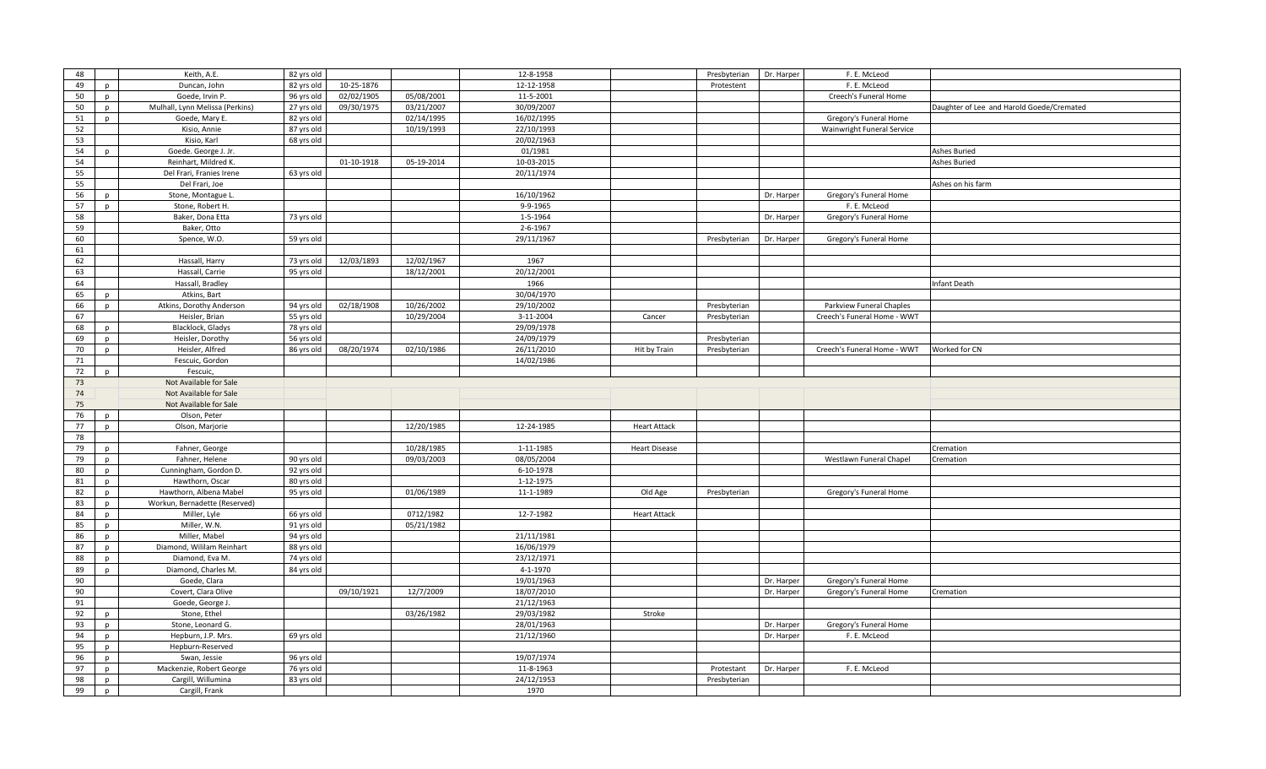| 48 |              | Keith, A.E.                     | 82 yrs old |            |            | 12-8-1958  |                      | Presbyterian | Dr. Harper | F. E. McLeod                |                                           |
|----|--------------|---------------------------------|------------|------------|------------|------------|----------------------|--------------|------------|-----------------------------|-------------------------------------------|
| 49 | p            | Duncan, John                    | 82 yrs old | 10-25-1876 |            | 12-12-1958 |                      | Protestent   |            | F. E. McLeod                |                                           |
| 50 | p            | Goede, Irvin P.                 | 96 yrs old | 02/02/1905 | 05/08/2001 | 11-5-2001  |                      |              |            | Creech's Funeral Home       |                                           |
| 50 | p            | Mulhall, Lynn Melissa (Perkins) | 27 yrs old | 09/30/1975 | 03/21/2007 | 30/09/2007 |                      |              |            |                             | Daughter of Lee and Harold Goede/Cremated |
| 51 | p            | Goede, Mary E.                  | 82 yrs old |            | 02/14/1995 | 16/02/1995 |                      |              |            | Gregory's Funeral Home      |                                           |
| 52 |              | Kisio, Annie                    | 87 yrs old |            | 10/19/1993 | 22/10/1993 |                      |              |            | Wainwright Funeral Service  |                                           |
| 53 |              | Kisio, Karl                     | 68 yrs old |            |            | 20/02/1963 |                      |              |            |                             |                                           |
| 54 | $\mathbf{D}$ | Goede. George J. Jr.            |            |            |            | 01/1981    |                      |              |            |                             | Ashes Buried                              |
| 54 |              | Reinhart, Mildred K.            |            | 01-10-1918 | 05-19-2014 | 10-03-2015 |                      |              |            |                             | <b>Ashes Buried</b>                       |
| 55 |              | Del Frari, Franies Irene        | 63 yrs old |            |            | 20/11/1974 |                      |              |            |                             |                                           |
| 55 |              | Del Frari, Joe                  |            |            |            |            |                      |              |            |                             | Ashes on his farm                         |
| 56 | $\mathbf{D}$ | Stone, Montague L.              |            |            |            | 16/10/1962 |                      |              | Dr. Harper | Gregory's Funeral Home      |                                           |
| 57 | p.           | Stone, Robert H.                |            |            |            | 9-9-1965   |                      |              |            | F. E. McLeod                |                                           |
| 58 |              | Baker, Dona Etta                | 73 yrs old |            |            | 1-5-1964   |                      |              | Dr. Harper | Gregory's Funeral Home      |                                           |
| 59 |              | Baker, Otto                     |            |            |            | 2-6-1967   |                      |              |            |                             |                                           |
| 60 |              | Spence, W.O.                    | 59 yrs old |            |            | 29/11/1967 |                      | Presbyterian | Dr. Harper | Gregory's Funeral Home      |                                           |
| 61 |              |                                 |            |            |            |            |                      |              |            |                             |                                           |
| 62 |              | Hassall, Harry                  | 73 yrs old | 12/03/1893 | 12/02/1967 | 1967       |                      |              |            |                             |                                           |
| 63 |              | Hassall, Carrie                 | 95 yrs old |            | 18/12/2001 | 20/12/2001 |                      |              |            |                             |                                           |
| 64 |              | Hassall, Bradley                |            |            |            | 1966       |                      |              |            |                             | Infant Death                              |
| 65 | $\mathbf{D}$ | Atkins, Bart                    |            |            |            | 30/04/1970 |                      |              |            |                             |                                           |
| 66 | p            | Atkins, Dorothy Anderson        | 94 yrs old | 02/18/1908 | 10/26/2002 | 29/10/2002 |                      | Presbyterian |            | Parkview Funeral Chaples    |                                           |
| 67 |              | Heisler, Brian                  | 55 yrs old |            | 10/29/2004 | 3-11-2004  | Cancer               | Presbyterian |            | Creech's Funeral Home - WWT |                                           |
| 68 | $\mathbf{D}$ | Blacklock, Gladys               | 78 yrs old |            |            | 29/09/1978 |                      |              |            |                             |                                           |
| 69 | p            | Heisler, Dorothy                | 56 yrs old |            |            | 24/09/1979 |                      | Presbyterian |            |                             |                                           |
| 70 | p            | Heisler, Alfred                 | 86 yrs old | 08/20/1974 | 02/10/1986 | 26/11/2010 | Hit by Train         | Presbyterian |            | Creech's Funeral Home - WWT | Worked for CN                             |
| 71 |              | Fescuic, Gordon                 |            |            |            | 14/02/1986 |                      |              |            |                             |                                           |
| 72 | p            | Fescuic,                        |            |            |            |            |                      |              |            |                             |                                           |
| 73 |              | Not Available for Sale          |            |            |            |            |                      |              |            |                             |                                           |
| 74 |              | Not Available for Sale          |            |            |            |            |                      |              |            |                             |                                           |
| 75 |              | Not Available for Sale          |            |            |            |            |                      |              |            |                             |                                           |
| 76 | $\mathbf{D}$ | Olson, Peter                    |            |            |            |            |                      |              |            |                             |                                           |
| 77 | p            | Olson, Marjorie                 |            |            | 12/20/1985 | 12-24-1985 | <b>Heart Attack</b>  |              |            |                             |                                           |
| 78 |              |                                 |            |            |            |            |                      |              |            |                             |                                           |
| 79 | p            | Fahner, George                  |            |            | 10/28/1985 | 1-11-1985  | <b>Heart Disease</b> |              |            |                             | Cremation                                 |
| 79 | p            | Fahner, Helene                  | 90 yrs old |            | 09/03/2003 | 08/05/2004 |                      |              |            | Westlawn Funeral Chapel     | Cremation                                 |
| 80 | p            | Cunningham, Gordon D.           | 92 yrs old |            |            | 6-10-1978  |                      |              |            |                             |                                           |
| 81 | p            | Hawthorn, Oscar                 | 80 yrs old |            |            | 1-12-1975  |                      |              |            |                             |                                           |
| 82 | p            | Hawthorn, Albena Mabel          | 95 yrs old |            | 01/06/1989 | 11-1-1989  | Old Age              | Presbyterian |            | Gregory's Funeral Home      |                                           |
| 83 | <sub>D</sub> | Workun, Bernadette (Reserved)   |            |            |            |            |                      |              |            |                             |                                           |
| 84 | p            | Miller, Lyle                    | 66 yrs old |            | 0712/1982  | 12-7-1982  | <b>Heart Attack</b>  |              |            |                             |                                           |
| 85 | p            | Miller, W.N.                    | 91 yrs old |            | 05/21/1982 |            |                      |              |            |                             |                                           |
| 86 | p            | Miller, Mabel                   | 94 yrs old |            |            | 21/11/1981 |                      |              |            |                             |                                           |
| 87 | p            | Diamond, Wililam Reinhart       | 88 yrs old |            |            | 16/06/1979 |                      |              |            |                             |                                           |
| 88 | p.           | Diamond, Eva M.                 | 74 yrs old |            |            | 23/12/1971 |                      |              |            |                             |                                           |
| 89 | p            | Diamond, Charles M.             | 84 yrs old |            |            | 4-1-1970   |                      |              |            |                             |                                           |
| 90 |              | Goede, Clara                    |            |            |            | 19/01/1963 |                      |              | Dr. Harper | Gregory's Funeral Home      |                                           |
| 90 |              | Covert, Clara Olive             |            | 09/10/1921 | 12/7/2009  | 18/07/2010 |                      |              | Dr. Harper | Gregory's Funeral Home      | Cremation                                 |
| 91 |              | Goede, George J.                |            |            |            | 21/12/1963 |                      |              |            |                             |                                           |
| 92 | p            | Stone, Ethel                    |            |            | 03/26/1982 | 29/03/1982 | Stroke               |              |            |                             |                                           |
| 93 | p            | Stone, Leonard G.               |            |            |            | 28/01/1963 |                      |              | Dr. Harper | Gregory's Funeral Home      |                                           |
| 94 | p            | Hepburn, J.P. Mrs.              | 69 yrs old |            |            | 21/12/1960 |                      |              | Dr. Harper | F. E. McLeod                |                                           |
| 95 | p            | Hepburn-Reserved                |            |            |            |            |                      |              |            |                             |                                           |
| 96 | D            | Swan, Jessie                    | 96 yrs old |            |            | 19/07/1974 |                      |              |            |                             |                                           |
| 97 | p            | Mackenzie, Robert George        | 76 yrs old |            |            | 11-8-1963  |                      | Protestant   | Dr. Harper | F. E. McLeod                |                                           |
| 98 | p.           | Cargill, Willumina              | 83 yrs old |            |            | 24/12/1953 |                      | Presbyterian |            |                             |                                           |
| 99 | p            | Cargill, Frank                  |            |            |            | 1970       |                      |              |            |                             |                                           |
|    |              |                                 |            |            |            |            |                      |              |            |                             |                                           |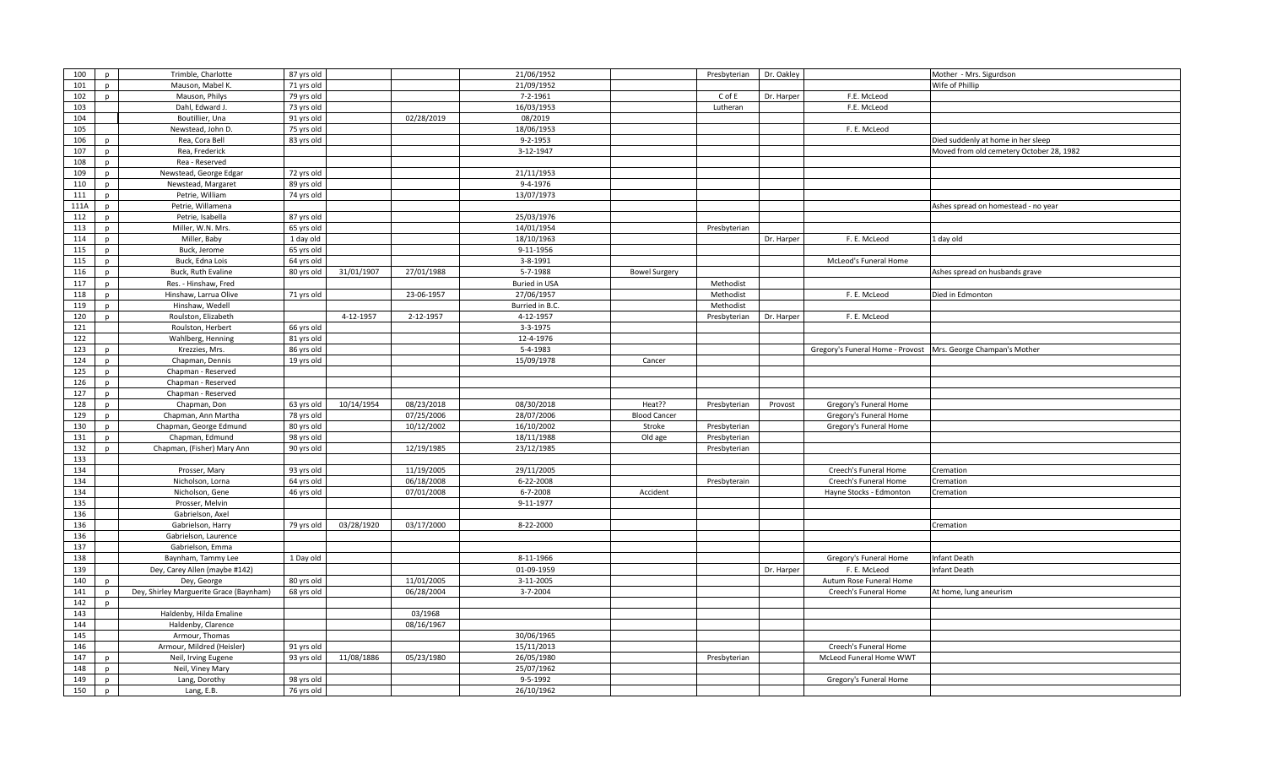| 100  | Trimble, Charlotte<br><sub>D</sub>           | 87 yrs old |            |            | 21/06/1952           |                      | Presbyterian | Dr. Oakley |                                                               | Mother - Mrs. Sigurdson                  |
|------|----------------------------------------------|------------|------------|------------|----------------------|----------------------|--------------|------------|---------------------------------------------------------------|------------------------------------------|
| 101  | Mauson, Mabel K.<br>p                        | 71 yrs old |            |            | 21/09/1952           |                      |              |            |                                                               | Wife of Phillip                          |
| 102  | Mauson, Philys<br>p                          | 79 yrs old |            |            | 7-2-1961             |                      | C of E       | Dr. Harper | F.E. McLeod                                                   |                                          |
| 103  | Dahl, Edward J.                              | 73 yrs old |            |            | 16/03/1953           |                      | Lutheran     |            | F.E. McLeod                                                   |                                          |
| 104  | Boutillier, Una                              | 91 yrs old |            | 02/28/2019 | 08/2019              |                      |              |            |                                                               |                                          |
| 105  | Newstead, John D.                            | 75 yrs old |            |            | 18/06/1953           |                      |              |            | F. E. McLeod                                                  |                                          |
| 106  | Rea, Cora Bell<br>$\mathsf{D}$               | 83 yrs old |            |            | $9 - 2 - 1953$       |                      |              |            |                                                               | Died suddenly at home in her sleep       |
| 107  | Rea, Frederick<br>p                          |            |            |            | 3-12-1947            |                      |              |            |                                                               | Moved from old cemetery October 28, 1982 |
| 108  | p<br>Rea - Reserved                          |            |            |            |                      |                      |              |            |                                                               |                                          |
| 109  | Newstead, George Edgar<br>p                  | 72 yrs old |            |            | 21/11/1953           |                      |              |            |                                                               |                                          |
| 110  | Newstead, Margaret<br>$\mathbf{D}$           | 89 yrs old |            |            | 9-4-1976             |                      |              |            |                                                               |                                          |
| 111  | Petrie, William<br>p                         | 74 yrs old |            |            | 13/07/1973           |                      |              |            |                                                               |                                          |
| 111A | Petrie, Willamena<br>p                       |            |            |            |                      |                      |              |            |                                                               | Ashes spread on homestead - no year      |
| 112  | Petrie, Isabella<br>p                        | 87 yrs old |            |            | 25/03/1976           |                      |              |            |                                                               |                                          |
| 113  | Miller, W.N. Mrs.<br>p                       | 65 yrs old |            |            | 14/01/1954           |                      | Presbyterian |            |                                                               |                                          |
| 114  | Miller, Baby<br>p                            | 1 day old  |            |            | 18/10/1963           |                      |              | Dr. Harper | F. E. McLeod                                                  | 1 day old                                |
| 115  | p<br>Buck, Jerome                            | 65 yrs old |            |            | 9-11-1956            |                      |              |            |                                                               |                                          |
| 115  | Buck, Edna Lois<br>p                         | 64 yrs old |            |            | 3-8-1991             |                      |              |            | McLeod's Funeral Home                                         |                                          |
| 116  | Buck, Ruth Evaline<br>p.                     | 80 yrs old | 31/01/1907 | 27/01/1988 | 5-7-1988             | <b>Bowel Surgery</b> |              |            |                                                               | Ashes spread on husbands grave           |
| 117  | Res. - Hinshaw, Fred<br>p                    |            |            |            | <b>Buried in USA</b> |                      | Methodist    |            |                                                               |                                          |
| 118  | Hinshaw, Larrua Olive<br>p                   | 71 yrs old |            | 23-06-1957 | 27/06/1957           |                      | Methodist    |            | F. E. McLeod                                                  | Died in Edmonton                         |
| 119  | Hinshaw, Wedell<br>p                         |            |            |            | Burried in B.C       |                      | Methodist    |            |                                                               |                                          |
| 120  | Roulston, Elizabeth<br>p                     |            | 4-12-1957  | 2-12-1957  | 4-12-1957            |                      | Presbyterian | Dr. Harper | F. E. McLeod                                                  |                                          |
| 121  | Roulston, Herbert                            | 66 yrs old |            |            | 3-3-1975             |                      |              |            |                                                               |                                          |
| 122  | Wahlberg, Henning                            | 81 yrs old |            |            | 12-4-1976            |                      |              |            |                                                               |                                          |
| 123  | Krezzies, Mrs.<br>D.                         | 86 yrs old |            |            | 5-4-1983             |                      |              |            | Gregory's Funeral Home - Provost Mrs. George Champan's Mother |                                          |
| 124  | Chapman, Dennis<br>p.                        | 19 yrs old |            |            | 15/09/1978           | Cancer               |              |            |                                                               |                                          |
| 125  | Chapman - Reserved<br>p                      |            |            |            |                      |                      |              |            |                                                               |                                          |
| 126  | Chapman - Reserved<br>p.                     |            |            |            |                      |                      |              |            |                                                               |                                          |
| 127  | Chapman - Reserved<br>p                      |            |            |            |                      |                      |              |            |                                                               |                                          |
| 128  | Chapman, Don<br>p                            | 63 yrs old | 10/14/1954 | 08/23/2018 | 08/30/2018           | Heat??               | Presbyterian | Provost    | Gregory's Funeral Home                                        |                                          |
| 129  | Chapman, Ann Martha<br>D                     | 78 yrs old |            | 07/25/2006 | 28/07/2006           | <b>Blood Cancer</b>  |              |            | Gregory's Funeral Home                                        |                                          |
| 130  | Chapman, George Edmund<br>p                  | 80 yrs old |            | 10/12/2002 | 16/10/2002           | Stroke               | Presbyterian |            | Gregory's Funeral Home                                        |                                          |
| 131  | Chapman, Edmund<br>p                         | 98 yrs old |            |            | 18/11/1988           | Old age              | Presbyterian |            |                                                               |                                          |
| 132  | Chapman, (Fisher) Mary Ann<br>$\mathbf{D}$   | 90 yrs old |            | 12/19/1985 | 23/12/1985           |                      | Presbyterian |            |                                                               |                                          |
| 133  |                                              |            |            |            |                      |                      |              |            |                                                               |                                          |
| 134  | Prosser, Mary                                | 93 yrs old |            | 11/19/2005 | 29/11/2005           |                      |              |            | Creech's Funeral Home                                         | Cremation                                |
| 134  | Nicholson, Lorna                             | 64 yrs old |            | 06/18/2008 | 6-22-2008            |                      | Presbyterain |            | Creech's Funeral Home                                         | Cremation                                |
| 134  | Nicholson, Gene                              | 46 yrs old |            | 07/01/2008 | $6 - 7 - 2008$       | Accident             |              |            | Hayne Stocks - Edmonton                                       | Cremation                                |
| 135  | Prosser, Melvin                              |            |            |            | 9-11-1977            |                      |              |            |                                                               |                                          |
| 136  | Gabrielson, Axel                             |            |            |            |                      |                      |              |            |                                                               |                                          |
| 136  | Gabrielson, Harry                            | 79 yrs old | 03/28/1920 | 03/17/2000 | 8-22-2000            |                      |              |            |                                                               | Cremation                                |
| 136  | Gabrielson, Laurence                         |            |            |            |                      |                      |              |            |                                                               |                                          |
| 137  | Gabrielson, Emma                             |            |            |            |                      |                      |              |            |                                                               |                                          |
| 138  | Baynham, Tammy Lee                           | 1 Day old  |            |            | 8-11-1966            |                      |              |            | Gregory's Funeral Home                                        | Infant Death                             |
| 139  | Dey, Carey Allen (maybe #142)                |            |            |            | 01-09-1959           |                      |              | Dr. Harper | F. E. McLeod                                                  | Infant Death                             |
| 140  | Dey, George<br>p                             | 80 yrs old |            | 11/01/2005 | 3-11-2005            |                      |              |            | Autum Rose Funeral Home                                       |                                          |
| 141  | Dey, Shirley Marguerite Grace (Baynham)<br>D | 68 yrs old |            | 06/28/2004 | 3-7-2004             |                      |              |            | Creech's Funeral Home                                         | At home, lung aneurism                   |
| 142  | p                                            |            |            |            |                      |                      |              |            |                                                               |                                          |
| 143  | Haldenby, Hilda Emaline                      |            |            | 03/1968    |                      |                      |              |            |                                                               |                                          |
| 144  | Haldenby, Clarence                           |            |            | 08/16/1967 |                      |                      |              |            |                                                               |                                          |
| 145  | Armour, Thomas                               |            |            |            | 30/06/1965           |                      |              |            |                                                               |                                          |
| 146  | Armour, Mildred (Heisler)                    | 91 yrs old |            |            | 15/11/2013           |                      |              |            | Creech's Funeral Home                                         |                                          |
| 147  | Neil, Irving Eugene<br>$\mathbf{D}$          | 93 yrs old | 11/08/1886 | 05/23/1980 | 26/05/1980           |                      | Presbyterian |            | McLeod Funeral Home WWT                                       |                                          |
| 148  | Neil, Viney Mary<br>D                        |            |            |            | 25/07/1962           |                      |              |            |                                                               |                                          |
| 149  | Lang, Dorothy<br>p                           | 98 yrs old |            |            | 9-5-1992             |                      |              |            | Gregory's Funeral Home                                        |                                          |
| 150  | Lang, E.B.<br>p                              | 76 yrs old |            |            | 26/10/1962           |                      |              |            |                                                               |                                          |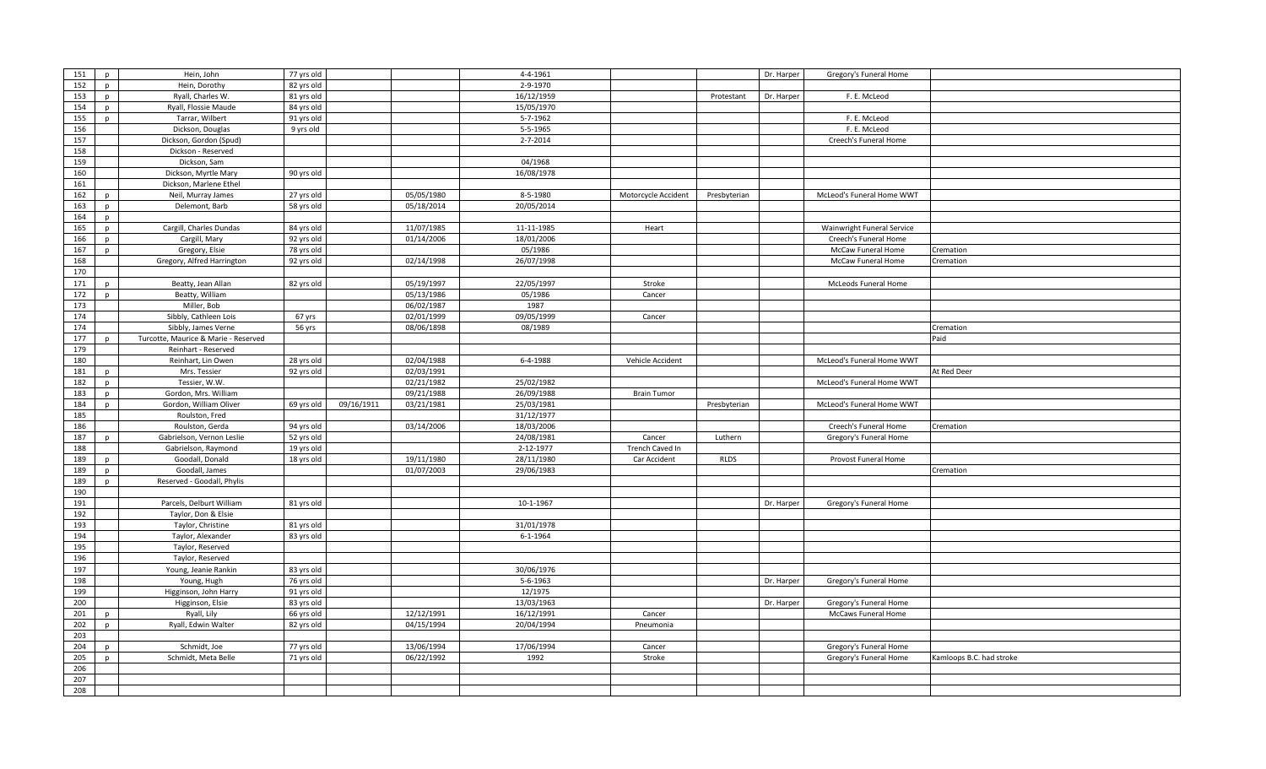| 151        | p            | Hein, John                           | 77 yrs old |            |            | 4-4-1961                |                                 |              | Dr. Harper | Gregory's Funeral Home     |                          |
|------------|--------------|--------------------------------------|------------|------------|------------|-------------------------|---------------------------------|--------------|------------|----------------------------|--------------------------|
| 152        | p            | Hein, Dorothy                        | 82 yrs old |            |            | 2-9-1970                |                                 |              |            |                            |                          |
| 153        | p            | Ryall, Charles W.                    | 81 yrs old |            |            | 16/12/1959              |                                 | Protestant   | Dr. Harper | F. E. McLeod               |                          |
| 154        | $\mathsf{p}$ | Ryall, Flossie Maude                 | 84 yrs old |            |            | 15/05/1970              |                                 |              |            |                            |                          |
| 155        | p            | Tarrar, Wilbert                      | 91 yrs old |            |            | 5-7-1962                |                                 |              |            | F. E. McLeod               |                          |
| 156        |              | Dickson, Douglas                     | 9 yrs old  |            |            | 5-5-1965                |                                 |              |            | F. E. McLeod               |                          |
| 157        |              | Dickson, Gordon (Spud)               |            |            |            | 2-7-2014                |                                 |              |            | Creech's Funeral Home      |                          |
| 158        |              | Dickson - Reserved                   |            |            |            |                         |                                 |              |            |                            |                          |
| 159        |              | Dickson, Sam                         |            |            |            | 04/1968                 |                                 |              |            |                            |                          |
| 160        |              | Dickson, Myrtle Mary                 | 90 yrs old |            |            | 16/08/1978              |                                 |              |            |                            |                          |
| 161        |              | Dickson, Marlene Ethel               |            |            |            |                         |                                 |              |            |                            |                          |
| 162        | p            | Neil, Murray James                   | 27 yrs old |            | 05/05/1980 | 8-5-1980                | Motorcycle Accident             | Presbyterian |            | McLeod's Funeral Home WWT  |                          |
| 163        | p            | Delemont, Barb                       | 58 yrs old |            | 05/18/2014 | 20/05/2014              |                                 |              |            |                            |                          |
| 164        | p            |                                      |            |            |            |                         |                                 |              |            |                            |                          |
| 165        | p            | Cargill, Charles Dundas              | 84 yrs old |            | 11/07/1985 | 11-11-1985              | Heart                           |              |            | Wainwright Funeral Service |                          |
| 166        | p            | Cargill, Mary                        | 92 yrs old |            | 01/14/2006 | 18/01/2006              |                                 |              |            | Creech's Funeral Home      |                          |
| 167        | p            | Gregory, Elsie                       | 78 yrs old |            |            | 05/1986                 |                                 |              |            | McCaw Funeral Home         | Cremation                |
| 168        |              | Gregory, Alfred Harrington           | 92 yrs old |            | 02/14/1998 | 26/07/1998              |                                 |              |            | McCaw Funeral Home         | Cremation                |
| 170        |              |                                      |            |            |            |                         |                                 |              |            |                            |                          |
| 171        | p            | Beatty, Jean Allan                   | 82 yrs old |            | 05/19/1997 | 22/05/1997              | Stroke                          |              |            | McLeods Funeral Home       |                          |
| 172        | p            | Beatty, William                      |            |            | 05/13/1986 | 05/1986                 | Cancer                          |              |            |                            |                          |
| 173        |              | Miller, Bob                          |            |            | 06/02/1987 | 1987                    |                                 |              |            |                            |                          |
| 174        |              | Sibbly, Cathleen Lois                | 67 yrs     |            | 02/01/1999 | 09/05/1999              | Cancer                          |              |            |                            |                          |
| 174        |              | Sibbly, James Verne                  | 56 yrs     |            | 08/06/1898 | 08/1989                 |                                 |              |            |                            | Cremation                |
| 177        | p            | Turcotte, Maurice & Marie - Reserved |            |            |            |                         |                                 |              |            |                            | Paid                     |
| 179        |              | Reinhart - Reserved                  |            |            |            |                         |                                 |              |            |                            |                          |
| 180        |              | Reinhart, Lin Owen                   | 28 yrs old |            | 02/04/1988 | 6-4-1988                | Vehicle Accident                |              |            | McLeod's Funeral Home WWT  |                          |
| 181        | p            | Mrs. Tessier                         | 92 yrs old |            | 02/03/1991 |                         |                                 |              |            |                            | At Red Deer              |
| 182        | p            | Tessier, W.W.                        |            |            | 02/21/1982 | 25/02/1982              |                                 |              |            | McLeod's Funeral Home WWT  |                          |
| 183        | p            | Gordon, Mrs. William                 |            |            | 09/21/1988 | 26/09/1988              | <b>Brain Tumor</b>              |              |            |                            |                          |
| 184        | p            | Gordon, William Oliver               | 69 yrs old | 09/16/1911 | 03/21/1981 | 25/03/1981              |                                 | Presbyterian |            | McLeod's Funeral Home WWT  |                          |
| 185        |              | Roulston, Fred                       |            |            |            | 31/12/1977              |                                 |              |            |                            |                          |
| 186        |              | Roulston, Gerda                      | 94 yrs old |            | 03/14/2006 | 18/03/2006              |                                 |              |            | Creech's Funeral Home      | Cremation                |
| 187        | p            | Gabrielson, Vernon Leslie            | 52 yrs old |            |            | 24/08/1981              | Cancer                          | Luthern      |            | Gregory's Funeral Home     |                          |
| 188<br>189 |              | Gabrielson, Raymond                  | 19 yrs old |            | 19/11/1980 | 2-12-1977<br>28/11/1980 | Trench Caved In<br>Car Accident | <b>RLDS</b>  |            |                            |                          |
| 189        | p            | Goodall, Donald<br>Goodall, James    | 18 yrs old |            | 01/07/2003 | 29/06/1983              |                                 |              |            | Provost Funeral Home       |                          |
| 189        | p<br>p       | Reserved - Goodall, Phylis           |            |            |            |                         |                                 |              |            |                            | Cremation                |
| 190        |              |                                      |            |            |            |                         |                                 |              |            |                            |                          |
| 191        |              | Parcels, Delburt William             | 81 yrs old |            |            | 10-1-1967               |                                 |              | Dr. Harper | Gregory's Funeral Home     |                          |
| 192        |              | Taylor, Don & Elsie                  |            |            |            |                         |                                 |              |            |                            |                          |
| 193        |              | Taylor, Christine                    | 81 yrs old |            |            | 31/01/1978              |                                 |              |            |                            |                          |
| 194        |              | Taylor, Alexander                    | 83 yrs old |            |            | $6 - 1 - 1964$          |                                 |              |            |                            |                          |
| 195        |              | Taylor, Reserved                     |            |            |            |                         |                                 |              |            |                            |                          |
| 196        |              | Taylor, Reserved                     |            |            |            |                         |                                 |              |            |                            |                          |
| 197        |              | Young, Jeanie Rankin                 | 83 yrs old |            |            | 30/06/1976              |                                 |              |            |                            |                          |
| 198        |              | Young, Hugh                          | 76 yrs old |            |            | 5-6-1963                |                                 |              | Dr. Harper | Gregory's Funeral Home     |                          |
| 199        |              | Higginson, John Harry                | 91 yrs old |            |            | 12/1975                 |                                 |              |            |                            |                          |
| 200        |              | Higginson, Elsie                     | 83 yrs old |            |            | 13/03/1963              |                                 |              | Dr. Harper | Gregory's Funeral Home     |                          |
| 201        | p            | Ryall, Lily                          | 66 yrs old |            | 12/12/1991 | 16/12/1991              | Cancer                          |              |            | McCaws Funeral Home        |                          |
| 202        | p.           | Ryall, Edwin Walter                  | 82 yrs old |            | 04/15/1994 | 20/04/1994              | Pneumonia                       |              |            |                            |                          |
| 203        |              |                                      |            |            |            |                         |                                 |              |            |                            |                          |
| 204        | p            | Schmidt, Joe                         | 77 yrs old |            | 13/06/1994 | 17/06/1994              | Cancer                          |              |            | Gregory's Funeral Home     |                          |
| 205        | D            | Schmidt, Meta Belle                  | 71 yrs old |            | 06/22/1992 | 1992                    | Stroke                          |              |            | Gregory's Funeral Home     | Kamloops B.C. had stroke |
| 206        |              |                                      |            |            |            |                         |                                 |              |            |                            |                          |
| 207        |              |                                      |            |            |            |                         |                                 |              |            |                            |                          |
| 208        |              |                                      |            |            |            |                         |                                 |              |            |                            |                          |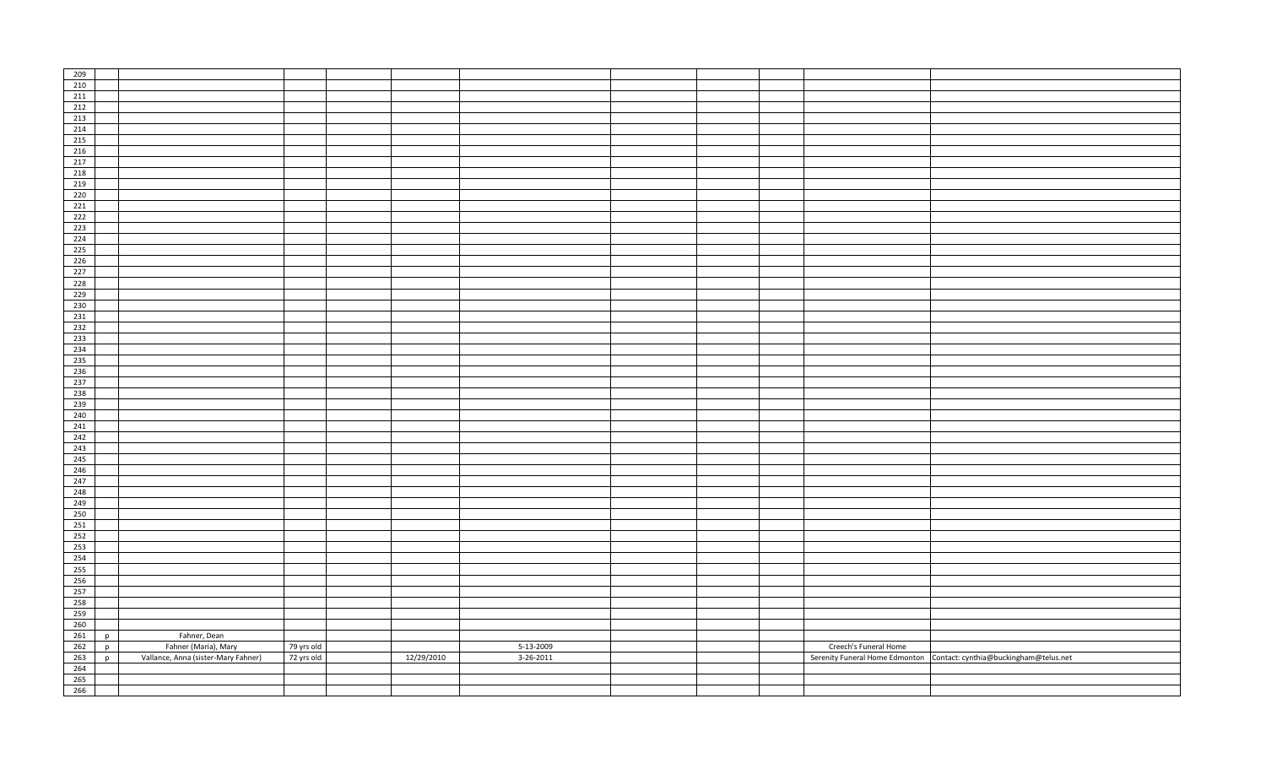| 209 |   |                                     |            |            |             |  |                       |                                                                      |
|-----|---|-------------------------------------|------------|------------|-------------|--|-----------------------|----------------------------------------------------------------------|
| 210 |   |                                     |            |            |             |  |                       |                                                                      |
| 211 |   |                                     |            |            |             |  |                       |                                                                      |
| 212 |   |                                     |            |            |             |  |                       |                                                                      |
| 213 |   |                                     |            |            |             |  |                       |                                                                      |
| 214 |   |                                     |            |            |             |  |                       |                                                                      |
|     |   |                                     |            |            |             |  |                       |                                                                      |
| 215 |   |                                     |            |            |             |  |                       |                                                                      |
| 216 |   |                                     |            |            |             |  |                       |                                                                      |
| 217 |   |                                     |            |            |             |  |                       |                                                                      |
| 218 |   |                                     |            |            |             |  |                       |                                                                      |
| 219 |   |                                     |            |            |             |  |                       |                                                                      |
| 220 |   |                                     |            |            |             |  |                       |                                                                      |
|     |   |                                     |            |            |             |  |                       |                                                                      |
| 221 |   |                                     |            |            |             |  |                       |                                                                      |
| 222 |   |                                     |            |            |             |  |                       |                                                                      |
| 223 |   |                                     |            |            |             |  |                       |                                                                      |
| 224 |   |                                     |            |            |             |  |                       |                                                                      |
| 225 |   |                                     |            |            |             |  |                       |                                                                      |
| 226 |   |                                     |            |            |             |  |                       |                                                                      |
|     |   |                                     |            |            |             |  |                       |                                                                      |
| 227 |   |                                     |            |            |             |  |                       |                                                                      |
| 228 |   |                                     |            |            |             |  |                       |                                                                      |
| 229 |   |                                     |            |            |             |  |                       |                                                                      |
| 230 |   |                                     |            |            |             |  |                       |                                                                      |
| 231 |   |                                     |            |            |             |  |                       |                                                                      |
| 232 |   |                                     |            |            |             |  |                       |                                                                      |
|     |   |                                     |            |            |             |  |                       |                                                                      |
| 233 |   |                                     |            |            |             |  |                       |                                                                      |
| 234 |   |                                     |            |            |             |  |                       |                                                                      |
| 235 |   |                                     |            |            |             |  |                       |                                                                      |
| 236 |   |                                     |            |            |             |  |                       |                                                                      |
| 237 |   |                                     |            |            |             |  |                       |                                                                      |
| 238 |   |                                     |            |            |             |  |                       |                                                                      |
|     |   |                                     |            |            |             |  |                       |                                                                      |
| 239 |   |                                     |            |            |             |  |                       |                                                                      |
| 240 |   |                                     |            |            |             |  |                       |                                                                      |
| 241 |   |                                     |            |            |             |  |                       |                                                                      |
| 242 |   |                                     |            |            |             |  |                       |                                                                      |
| 243 |   |                                     |            |            |             |  |                       |                                                                      |
| 245 |   |                                     |            |            |             |  |                       |                                                                      |
| 246 |   |                                     |            |            |             |  |                       |                                                                      |
|     |   |                                     |            |            |             |  |                       |                                                                      |
| 247 |   |                                     |            |            |             |  |                       |                                                                      |
| 248 |   |                                     |            |            |             |  |                       |                                                                      |
| 249 |   |                                     |            |            |             |  |                       |                                                                      |
| 250 |   |                                     |            |            |             |  |                       |                                                                      |
| 251 |   |                                     |            |            |             |  |                       |                                                                      |
| 252 |   |                                     |            |            |             |  |                       |                                                                      |
| 253 |   |                                     |            |            |             |  |                       |                                                                      |
|     |   |                                     |            |            |             |  |                       |                                                                      |
| 254 |   |                                     |            |            |             |  |                       |                                                                      |
| 255 |   |                                     |            |            |             |  |                       |                                                                      |
| 256 |   |                                     |            |            |             |  |                       |                                                                      |
| 257 |   |                                     |            |            |             |  |                       |                                                                      |
| 258 |   |                                     |            |            |             |  |                       |                                                                      |
| 259 |   |                                     |            |            |             |  |                       |                                                                      |
|     |   |                                     |            |            |             |  |                       |                                                                      |
| 260 |   |                                     |            |            |             |  |                       |                                                                      |
| 261 | p | Fahner, Dean                        |            |            |             |  |                       |                                                                      |
| 262 | p | Fahner (Maria), Mary                | 79 yrs old |            | 5-13-2009   |  | Creech's Funeral Home |                                                                      |
| 263 | p | Vallance, Anna (sister-Mary Fahner) | 72 yrs old | 12/29/2010 | $3-26-2011$ |  |                       | Serenity Funeral Home Edmonton Contact: cynthia@buckingham@telus.net |
| 264 |   |                                     |            |            |             |  |                       |                                                                      |
| 265 |   |                                     |            |            |             |  |                       |                                                                      |
|     |   |                                     |            |            |             |  |                       |                                                                      |
| 266 |   |                                     |            |            |             |  |                       |                                                                      |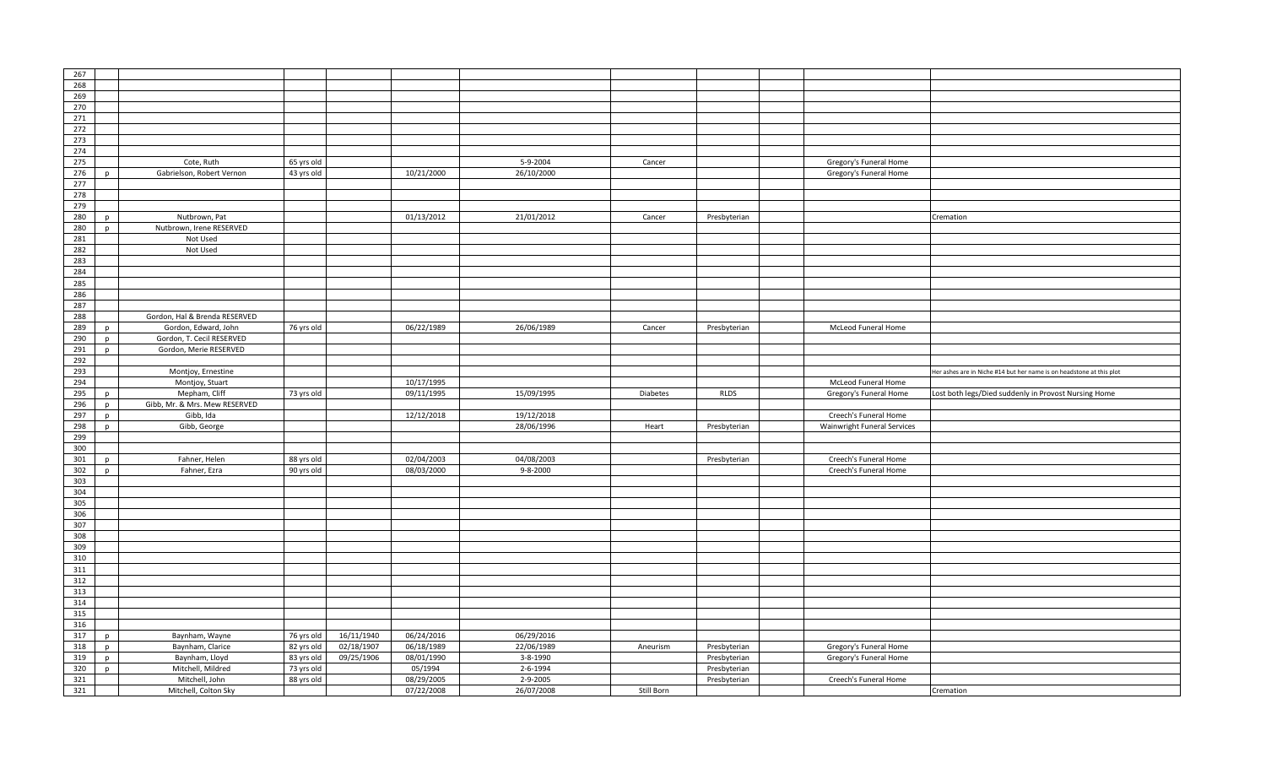| 267 |              |                               |            |            |            |            |            |              |                             |                                                                      |
|-----|--------------|-------------------------------|------------|------------|------------|------------|------------|--------------|-----------------------------|----------------------------------------------------------------------|
| 268 |              |                               |            |            |            |            |            |              |                             |                                                                      |
| 269 |              |                               |            |            |            |            |            |              |                             |                                                                      |
|     |              |                               |            |            |            |            |            |              |                             |                                                                      |
| 270 |              |                               |            |            |            |            |            |              |                             |                                                                      |
| 271 |              |                               |            |            |            |            |            |              |                             |                                                                      |
| 272 |              |                               |            |            |            |            |            |              |                             |                                                                      |
| 273 |              |                               |            |            |            |            |            |              |                             |                                                                      |
| 274 |              |                               |            |            |            |            |            |              |                             |                                                                      |
| 275 |              | Cote, Ruth                    | 65 yrs old |            |            | 5-9-2004   | Cancer     |              | Gregory's Funeral Home      |                                                                      |
| 276 | $\mathsf{D}$ | Gabrielson, Robert Vernon     | 43 yrs old |            | 10/21/2000 | 26/10/2000 |            |              | Gregory's Funeral Home      |                                                                      |
| 277 |              |                               |            |            |            |            |            |              |                             |                                                                      |
| 278 |              |                               |            |            |            |            |            |              |                             |                                                                      |
| 279 |              |                               |            |            |            |            |            |              |                             |                                                                      |
| 280 | p            | Nutbrown, Pat                 |            |            | 01/13/2012 | 21/01/2012 | Cancer     | Presbyterian |                             | Cremation                                                            |
| 280 | p            | Nutbrown, Irene RESERVED      |            |            |            |            |            |              |                             |                                                                      |
| 281 |              | Not Used                      |            |            |            |            |            |              |                             |                                                                      |
| 282 |              | Not Used                      |            |            |            |            |            |              |                             |                                                                      |
|     |              |                               |            |            |            |            |            |              |                             |                                                                      |
| 283 |              |                               |            |            |            |            |            |              |                             |                                                                      |
| 284 |              |                               |            |            |            |            |            |              |                             |                                                                      |
| 285 |              |                               |            |            |            |            |            |              |                             |                                                                      |
| 286 |              |                               |            |            |            |            |            |              |                             |                                                                      |
| 287 |              |                               |            |            |            |            |            |              |                             |                                                                      |
| 288 |              | Gordon, Hal & Brenda RESERVED |            |            |            |            |            |              |                             |                                                                      |
| 289 | p            | Gordon, Edward, John          | 76 yrs old |            | 06/22/1989 | 26/06/1989 | Cancer     | Presbyterian | McLeod Funeral Home         |                                                                      |
| 290 | p            | Gordon, T. Cecil RESERVED     |            |            |            |            |            |              |                             |                                                                      |
| 291 | p            | Gordon, Merie RESERVED        |            |            |            |            |            |              |                             |                                                                      |
| 292 |              |                               |            |            |            |            |            |              |                             |                                                                      |
| 293 |              | Montjoy, Ernestine            |            |            |            |            |            |              |                             | Her ashes are in Niche #14 but her name is on headstone at this plot |
| 294 |              | Montjoy, Stuart               |            |            | 10/17/1995 |            |            |              | McLeod Funeral Home         |                                                                      |
| 295 | $\mathsf{p}$ | Mepham, Cliff                 | 73 yrs old |            | 09/11/1995 | 15/09/1995 | Diabetes   | <b>RLDS</b>  | Gregory's Funeral Home      | Lost both legs/Died suddenly in Provost Nursing Home                 |
| 296 | p            | Gibb, Mr. & Mrs. Mew RESERVED |            |            |            |            |            |              |                             |                                                                      |
| 297 | p            | Gibb, Ida                     |            |            | 12/12/2018 | 19/12/2018 |            |              |                             |                                                                      |
|     |              |                               |            |            |            |            |            |              | Creech's Funeral Home       |                                                                      |
| 298 | p            | Gibb, George                  |            |            |            | 28/06/1996 | Heart      | Presbyterian | Wainwright Funeral Services |                                                                      |
| 299 |              |                               |            |            |            |            |            |              |                             |                                                                      |
| 300 |              |                               |            |            |            |            |            |              |                             |                                                                      |
| 301 | D            | Fahner, Helen                 | 88 yrs old |            | 02/04/2003 | 04/08/2003 |            | Presbyterian | Creech's Funeral Home       |                                                                      |
| 302 | p            | Fahner, Ezra                  | 90 yrs old |            | 08/03/2000 | 9-8-2000   |            |              | Creech's Funeral Home       |                                                                      |
| 303 |              |                               |            |            |            |            |            |              |                             |                                                                      |
| 304 |              |                               |            |            |            |            |            |              |                             |                                                                      |
| 305 |              |                               |            |            |            |            |            |              |                             |                                                                      |
| 306 |              |                               |            |            |            |            |            |              |                             |                                                                      |
| 307 |              |                               |            |            |            |            |            |              |                             |                                                                      |
| 308 |              |                               |            |            |            |            |            |              |                             |                                                                      |
|     |              |                               |            |            |            |            |            |              |                             |                                                                      |
|     |              |                               |            |            |            |            |            |              |                             |                                                                      |
| 309 |              |                               |            |            |            |            |            |              |                             |                                                                      |
| 310 |              |                               |            |            |            |            |            |              |                             |                                                                      |
| 311 |              |                               |            |            |            |            |            |              |                             |                                                                      |
| 312 |              |                               |            |            |            |            |            |              |                             |                                                                      |
| 313 |              |                               |            |            |            |            |            |              |                             |                                                                      |
| 314 |              |                               |            |            |            |            |            |              |                             |                                                                      |
| 315 |              |                               |            |            |            |            |            |              |                             |                                                                      |
| 316 |              |                               |            |            |            |            |            |              |                             |                                                                      |
| 317 | $\mathbf{D}$ | Baynham, Wayne                | 76 yrs old | 16/11/1940 | 06/24/2016 | 06/29/2016 |            |              |                             |                                                                      |
| 318 | p            | Baynham, Clarice              | 82 yrs old | 02/18/1907 | 06/18/1989 | 22/06/1989 | Aneurism   | Presbyterian | Gregory's Funeral Home      |                                                                      |
| 319 | p            | Baynham, Lloyd                | 83 yrs old | 09/25/1906 | 08/01/1990 | 3-8-1990   |            | Presbyterian | Gregory's Funeral Home      |                                                                      |
| 320 | p.           | Mitchell, Mildred             | 73 yrs old |            | 05/1994    | 2-6-1994   |            | Presbyterian |                             |                                                                      |
| 321 |              | Mitchell, John                | 88 yrs old |            | 08/29/2005 | 2-9-2005   |            | Presbyterian | Creech's Funeral Home       |                                                                      |
| 321 |              | Mitchell, Colton Sky          |            |            | 07/22/2008 | 26/07/2008 | Still Born |              |                             | Cremation                                                            |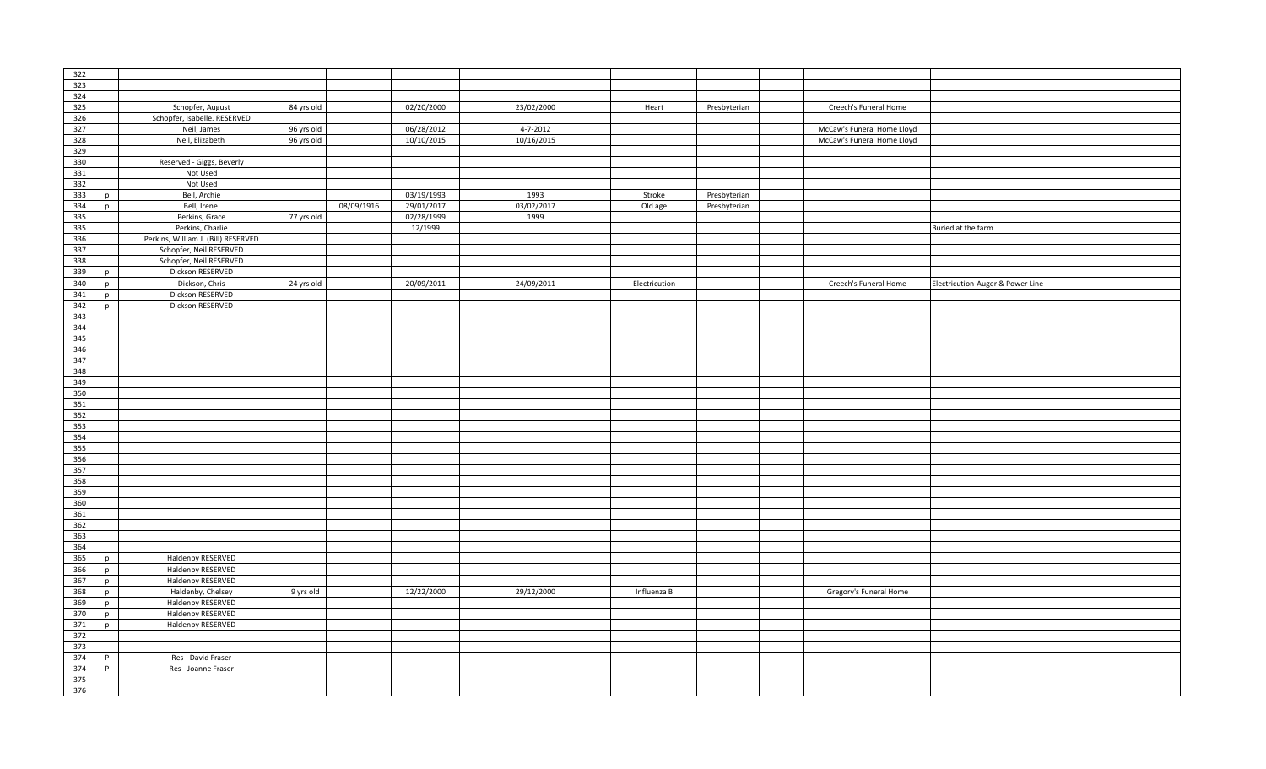| 322        |    |                                     |            |            |            |                |               |              |                            |                                  |
|------------|----|-------------------------------------|------------|------------|------------|----------------|---------------|--------------|----------------------------|----------------------------------|
| 323        |    |                                     |            |            |            |                |               |              |                            |                                  |
| 324        |    |                                     |            |            |            |                |               |              |                            |                                  |
| 325        |    | Schopfer, August                    | 84 yrs old |            | 02/20/2000 | 23/02/2000     | Heart         | Presbyterian | Creech's Funeral Home      |                                  |
| 326        |    | Schopfer, Isabelle. RESERVED        |            |            |            |                |               |              |                            |                                  |
| 327        |    | Neil, James                         | 96 yrs old |            | 06/28/2012 | $4 - 7 - 2012$ |               |              | McCaw's Funeral Home Lloyd |                                  |
| 328        |    | Neil, Elizabeth                     | 96 yrs old |            | 10/10/2015 | 10/16/2015     |               |              | McCaw's Funeral Home Lloyd |                                  |
| 329        |    |                                     |            |            |            |                |               |              |                            |                                  |
| 330        |    | Reserved - Giggs, Beverly           |            |            |            |                |               |              |                            |                                  |
| 331        |    | Not Used                            |            |            |            |                |               |              |                            |                                  |
| 332        |    | Not Used                            |            |            |            |                |               |              |                            |                                  |
| 333        | p  | Bell, Archie                        |            |            | 03/19/1993 | 1993           | Stroke        | Presbyterian |                            |                                  |
| 334        | p  | Bell, Irene                         |            | 08/09/1916 | 29/01/2017 | 03/02/2017     | Old age       | Presbyterian |                            |                                  |
| 335        |    | Perkins, Grace                      | 77 yrs old |            | 02/28/1999 | 1999           |               |              |                            |                                  |
| 335        |    | Perkins, Charlie                    |            |            | 12/1999    |                |               |              |                            | Buried at the farm               |
| 336        |    | Perkins, William J. (Bill) RESERVED |            |            |            |                |               |              |                            |                                  |
| 337        |    | Schopfer, Neil RESERVED             |            |            |            |                |               |              |                            |                                  |
| 338        |    | Schopfer, Neil RESERVED             |            |            |            |                |               |              |                            |                                  |
| 339        | p  | Dickson RESERVED                    |            |            |            |                |               |              |                            |                                  |
| 340        | p  | Dickson, Chris                      | 24 yrs old |            | 20/09/2011 | 24/09/2011     | Electricution |              | Creech's Funeral Home      | Electricution-Auger & Power Line |
| 341        | p  | Dickson RESERVED                    |            |            |            |                |               |              |                            |                                  |
| 342        | p  | Dickson RESERVED                    |            |            |            |                |               |              |                            |                                  |
| 343        |    |                                     |            |            |            |                |               |              |                            |                                  |
| 344        |    |                                     |            |            |            |                |               |              |                            |                                  |
| 345        |    |                                     |            |            |            |                |               |              |                            |                                  |
| 346        |    |                                     |            |            |            |                |               |              |                            |                                  |
| 347        |    |                                     |            |            |            |                |               |              |                            |                                  |
| 348        |    |                                     |            |            |            |                |               |              |                            |                                  |
| 349        |    |                                     |            |            |            |                |               |              |                            |                                  |
| 350        |    |                                     |            |            |            |                |               |              |                            |                                  |
| 351        |    |                                     |            |            |            |                |               |              |                            |                                  |
| 352        |    |                                     |            |            |            |                |               |              |                            |                                  |
| 353        |    |                                     |            |            |            |                |               |              |                            |                                  |
| 354        |    |                                     |            |            |            |                |               |              |                            |                                  |
| 355        |    |                                     |            |            |            |                |               |              |                            |                                  |
| 356        |    |                                     |            |            |            |                |               |              |                            |                                  |
| 357<br>358 |    |                                     |            |            |            |                |               |              |                            |                                  |
| 359        |    |                                     |            |            |            |                |               |              |                            |                                  |
| 360        |    |                                     |            |            |            |                |               |              |                            |                                  |
| 361        |    |                                     |            |            |            |                |               |              |                            |                                  |
| 362        |    |                                     |            |            |            |                |               |              |                            |                                  |
| 363        |    |                                     |            |            |            |                |               |              |                            |                                  |
| 364        |    |                                     |            |            |            |                |               |              |                            |                                  |
| 365        | p  | Haldenby RESERVED                   |            |            |            |                |               |              |                            |                                  |
| 366        | p  | Haldenby RESERVED                   |            |            |            |                |               |              |                            |                                  |
| 367        | p  | Haldenby RESERVED                   |            |            |            |                |               |              |                            |                                  |
| 368        | p  | Haldenby, Chelsey                   | 9 yrs old  |            | 12/22/2000 | 29/12/2000     | Influenza B   |              | Gregory's Funeral Home     |                                  |
| 369        | p  | Haldenby RESERVED                   |            |            |            |                |               |              |                            |                                  |
| 370        | p  | Haldenby RESERVED                   |            |            |            |                |               |              |                            |                                  |
| 371        | p  | Haldenby RESERVED                   |            |            |            |                |               |              |                            |                                  |
| 372        |    |                                     |            |            |            |                |               |              |                            |                                  |
| 373        |    |                                     |            |            |            |                |               |              |                            |                                  |
| 374        | P  | Res - David Fraser                  |            |            |            |                |               |              |                            |                                  |
| 374        | P. | Res - Joanne Fraser                 |            |            |            |                |               |              |                            |                                  |
| 375        |    |                                     |            |            |            |                |               |              |                            |                                  |
| 376        |    |                                     |            |            |            |                |               |              |                            |                                  |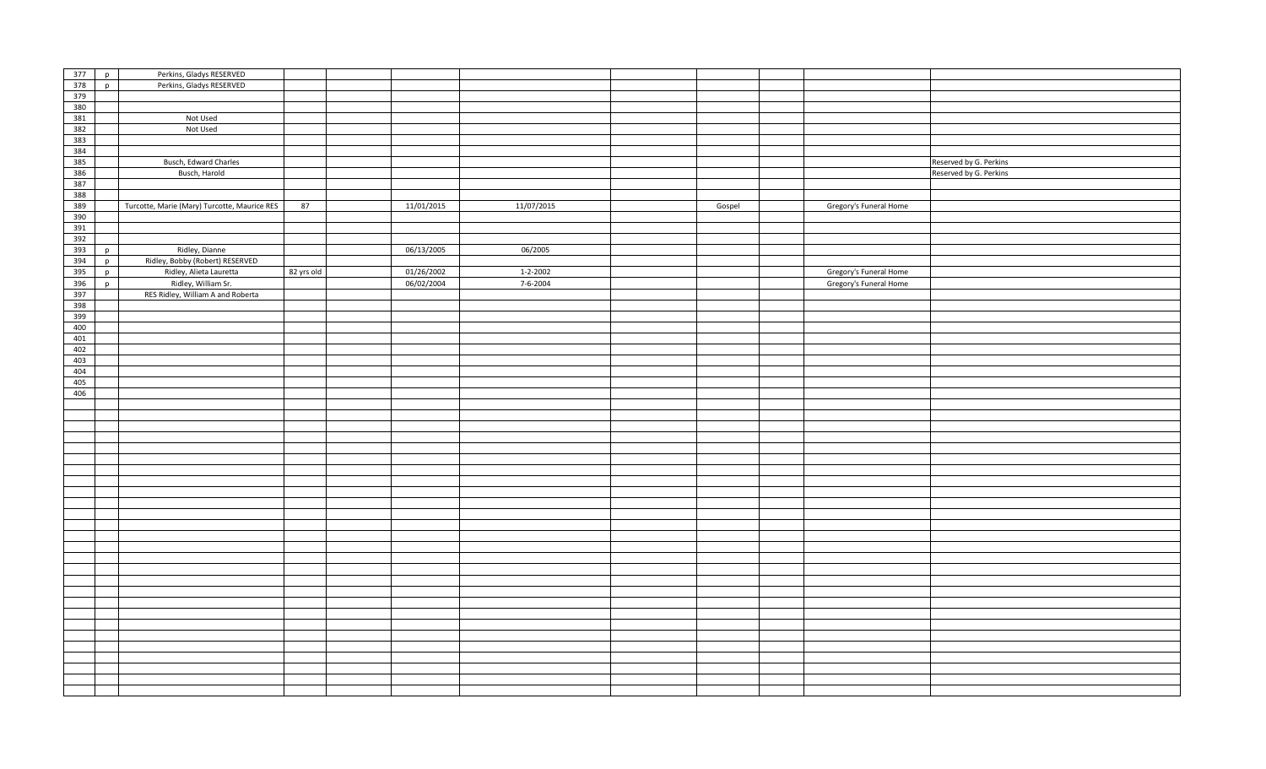| 377 | p | Perkins, Gladys RESERVED                     |            |            |                |        |                        |                        |
|-----|---|----------------------------------------------|------------|------------|----------------|--------|------------------------|------------------------|
| 378 | p | Perkins, Gladys RESERVED                     |            |            |                |        |                        |                        |
| 379 |   |                                              |            |            |                |        |                        |                        |
| 380 |   |                                              |            |            |                |        |                        |                        |
| 381 |   | Not Used                                     |            |            |                |        |                        |                        |
| 382 |   | Not Used                                     |            |            |                |        |                        |                        |
| 383 |   |                                              |            |            |                |        |                        |                        |
| 384 |   |                                              |            |            |                |        |                        |                        |
| 385 |   | Busch, Edward Charles                        |            |            |                |        |                        | Reserved by G. Perkins |
| 386 |   | Busch, Harold                                |            |            |                |        |                        | Reserved by G. Perkins |
| 387 |   |                                              |            |            |                |        |                        |                        |
| 388 |   |                                              |            |            |                |        |                        |                        |
| 389 |   | Turcotte, Marie (Mary) Turcotte, Maurice RES | 87         | 11/01/2015 | 11/07/2015     | Gospel | Gregory's Funeral Home |                        |
| 390 |   |                                              |            |            |                |        |                        |                        |
| 391 |   |                                              |            |            |                |        |                        |                        |
| 392 |   |                                              |            |            |                |        |                        |                        |
| 393 | p | Ridley, Dianne                               |            | 06/13/2005 | 06/2005        |        |                        |                        |
| 394 | p | Ridley, Bobby (Robert) RESERVED              |            |            |                |        |                        |                        |
| 395 | p | Ridley, Alieta Lauretta                      | 82 yrs old | 01/26/2002 | $1 - 2 - 2002$ |        | Gregory's Funeral Home |                        |
| 396 | p | Ridley, William Sr.                          |            | 06/02/2004 | 7-6-2004       |        | Gregory's Funeral Home |                        |
| 397 |   | RES Ridley, William A and Roberta            |            |            |                |        |                        |                        |
| 398 |   |                                              |            |            |                |        |                        |                        |
| 399 |   |                                              |            |            |                |        |                        |                        |
| 400 |   |                                              |            |            |                |        |                        |                        |
| 401 |   |                                              |            |            |                |        |                        |                        |
| 402 |   |                                              |            |            |                |        |                        |                        |
| 403 |   |                                              |            |            |                |        |                        |                        |
| 404 |   |                                              |            |            |                |        |                        |                        |
| 405 |   |                                              |            |            |                |        |                        |                        |
| 406 |   |                                              |            |            |                |        |                        |                        |
|     |   |                                              |            |            |                |        |                        |                        |
|     |   |                                              |            |            |                |        |                        |                        |
|     |   |                                              |            |            |                |        |                        |                        |
|     |   |                                              |            |            |                |        |                        |                        |
|     |   |                                              |            |            |                |        |                        |                        |
|     |   |                                              |            |            |                |        |                        |                        |
|     |   |                                              |            |            |                |        |                        |                        |
|     |   |                                              |            |            |                |        |                        |                        |
|     |   |                                              |            |            |                |        |                        |                        |
|     |   |                                              |            |            |                |        |                        |                        |
|     |   |                                              |            |            |                |        |                        |                        |
|     |   |                                              |            |            |                |        |                        |                        |
|     |   |                                              |            |            |                |        |                        |                        |
|     |   |                                              |            |            |                |        |                        |                        |
|     |   |                                              |            |            |                |        |                        |                        |
|     |   |                                              |            |            |                |        |                        |                        |
|     |   |                                              |            |            |                |        |                        |                        |
|     |   |                                              |            |            |                |        |                        |                        |
|     |   |                                              |            |            |                |        |                        |                        |
|     |   |                                              |            |            |                |        |                        |                        |
|     |   |                                              |            |            |                |        |                        |                        |
|     |   |                                              |            |            |                |        |                        |                        |
|     |   |                                              |            |            |                |        |                        |                        |
|     |   |                                              |            |            |                |        |                        |                        |
|     |   |                                              |            |            |                |        |                        |                        |
|     |   |                                              |            |            |                |        |                        |                        |
|     |   |                                              |            |            |                |        |                        |                        |